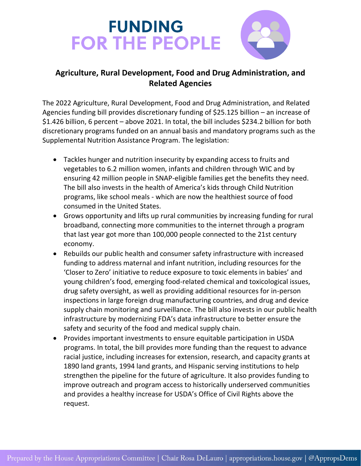## **FUNDING FOR THE PEOPLE**



## **Agriculture, Rural Development, Food and Drug Administration, and Related Agencies**

The 2022 Agriculture, Rural Development, Food and Drug Administration, and Related Agencies funding bill provides discretionary funding of \$25.125 billion – an increase of \$1.426 billion, 6 percent – above 2021. In total, the bill includes \$234.2 billion for both discretionary programs funded on an annual basis and mandatory programs such as the Supplemental Nutrition Assistance Program. The legislation:

- Tackles hunger and nutrition insecurity by expanding access to fruits and vegetables to 6.2 million women, infants and children through WIC and by ensuring 42 million people in SNAP-eligible families get the benefits they need. The bill also invests in the health of America's kids through Child Nutrition programs, like school meals - which are now the healthiest source of food consumed in the United States.
- Grows opportunity and lifts up rural communities by increasing funding for rural broadband, connecting more communities to the internet through a program that last year got more than 100,000 people connected to the 21st century economy.
- Rebuilds our public health and consumer safety infrastructure with increased funding to address maternal and infant nutrition, including resources for the 'Closer to Zero' initiative to reduce exposure to toxic elements in babies' and young children's food, emerging food-related chemical and toxicological issues, drug safety oversight, as well as providing additional resources for in-person inspections in large foreign drug manufacturing countries, and drug and device supply chain monitoring and surveillance. The bill also invests in our public health infrastructure by modernizing FDA's data infrastructure to better ensure the safety and security of the food and medical supply chain.
- Provides important investments to ensure equitable participation in USDA programs. In total, the bill provides more funding than the request to advance racial justice, including increases for extension, research, and capacity grants at 1890 land grants, 1994 land grants, and Hispanic serving institutions to help strengthen the pipeline for the future of agriculture. It also provides funding to improve outreach and program access to historically underserved communities and provides a healthy increase for USDA's Office of Civil Rights above the request.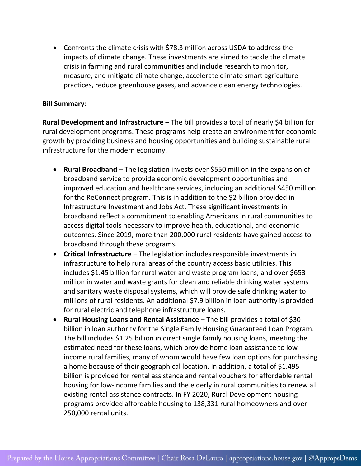• Confronts the climate crisis with \$78.3 million across USDA to address the impacts of climate change. These investments are aimed to tackle the climate crisis in farming and rural communities and include research to monitor, measure, and mitigate climate change, accelerate climate smart agriculture practices, reduce greenhouse gases, and advance clean energy technologies.

## **Bill Summary:**

**Rural Development and Infrastructure** – The bill provides a total of nearly \$4 billion for rural development programs. These programs help create an environment for economic growth by providing business and housing opportunities and building sustainable rural infrastructure for the modern economy.

- **Rural Broadband**  The legislation invests over \$550 million in the expansion of broadband service to provide economic development opportunities and improved education and healthcare services, including an additional \$450 million for the ReConnect program. This is in addition to the \$2 billion provided in Infrastructure Investment and Jobs Act. These significant investments in broadband reflect a commitment to enabling Americans in rural communities to access digital tools necessary to improve health, educational, and economic outcomes. Since 2019, more than 200,000 rural residents have gained access to broadband through these programs.
- **Critical Infrastructure**  The legislation includes responsible investments in infrastructure to help rural areas of the country access basic utilities. This includes \$1.45 billion for rural water and waste program loans, and over \$653 million in water and waste grants for clean and reliable drinking water systems and sanitary waste disposal systems, which will provide safe drinking water to millions of rural residents. An additional \$7.9 billion in loan authority is provided for rural electric and telephone infrastructure loans.
- **Rural Housing Loans and Rental Assistance**  The bill provides a total of \$30 billion in loan authority for the Single Family Housing Guaranteed Loan Program. The bill includes \$1.25 billion in direct single family housing loans, meeting the estimated need for these loans, which provide home loan assistance to lowincome rural families, many of whom would have few loan options for purchasing a home because of their geographical location. In addition, a total of \$1.495 billion is provided for rental assistance and rental vouchers for affordable rental housing for low-income families and the elderly in rural communities to renew all existing rental assistance contracts. In FY 2020, Rural Development housing programs provided affordable housing to 138,331 rural homeowners and over 250,000 rental units.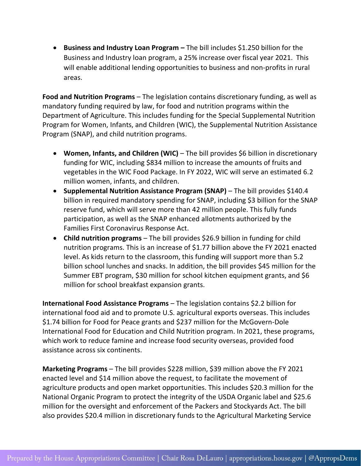• **Business and Industry Loan Program –** The bill includes \$1.250 billion for the Business and Industry loan program, a 25% increase over fiscal year 2021. This will enable additional lending opportunities to business and non-profits in rural areas.

**Food and Nutrition Programs** – The legislation contains discretionary funding, as well as mandatory funding required by law, for food and nutrition programs within the Department of Agriculture. This includes funding for the Special Supplemental Nutrition Program for Women, Infants, and Children (WIC), the Supplemental Nutrition Assistance Program (SNAP), and child nutrition programs.

- **Women, Infants, and Children (WIC)**  The bill provides \$6 billion in discretionary funding for WIC, including \$834 million to increase the amounts of fruits and vegetables in the WIC Food Package. In FY 2022, WIC will serve an estimated 6.2 million women, infants, and children.
- **Supplemental Nutrition Assistance Program (SNAP)** The bill provides \$140.4 billion in required mandatory spending for SNAP, including \$3 billion for the SNAP reserve fund, which will serve more than 42 million people. This fully funds participation, as well as the SNAP enhanced allotments authorized by the Families First Coronavirus Response Act.
- **Child nutrition programs** The bill provides \$26.9 billion in funding for child nutrition programs. This is an increase of \$1.77 billion above the FY 2021 enacted level. As kids return to the classroom, this funding will support more than 5.2 billion school lunches and snacks. In addition, the bill provides \$45 million for the Summer EBT program, \$30 million for school kitchen equipment grants, and \$6 million for school breakfast expansion grants.

**International Food Assistance Programs** – The legislation contains \$2.2 billion for international food aid and to promote U.S. agricultural exports overseas. This includes \$1.74 billion for Food for Peace grants and \$237 million for the McGovern-Dole International Food for Education and Child Nutrition program. In 2021, these programs, which work to reduce famine and increase food security overseas, provided food assistance across six continents.

**Marketing Programs** – The bill provides \$228 million, \$39 million above the FY 2021 enacted level and \$14 million above the request, to facilitate the movement of agriculture products and open market opportunities. This includes \$20.3 million for the National Organic Program to protect the integrity of the USDA Organic label and \$25.6 million for the oversight and enforcement of the Packers and Stockyards Act. The bill also provides \$20.4 million in discretionary funds to the Agricultural Marketing Service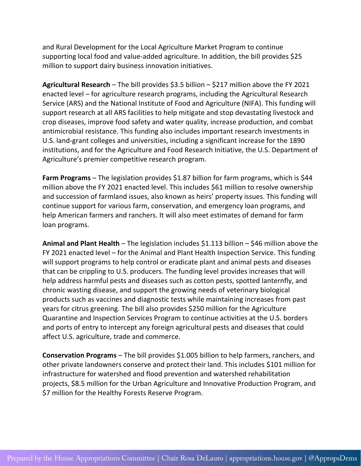and Rural Development for the Local Agriculture Market Program to continue supporting local food and value-added agriculture. In addition, the bill provides \$25 million to support dairy business innovation initiatives.

**Agricultural Research** – The bill provides \$3.5 billion – \$217 million above the FY 2021 enacted level – for agriculture research programs, including the Agricultural Research Service (ARS) and the National Institute of Food and Agriculture (NIFA). This funding will support research at all ARS facilities to help mitigate and stop devastating livestock and crop diseases, improve food safety and water quality, increase production, and combat antimicrobial resistance. This funding also includes important research investments in U.S. land-grant colleges and universities, including a significant increase for the 1890 institutions, and for the Agriculture and Food Research Initiative, the U.S. Department of Agriculture's premier competitive research program.

**Farm Programs** – The legislation provides \$1.87 billion for farm programs, which is \$44 million above the FY 2021 enacted level. This includes \$61 million to resolve ownership and succession of farmland issues, also known as heirs' property issues. This funding will continue support for various farm, conservation, and emergency loan programs, and help American farmers and ranchers. It will also meet estimates of demand for farm loan programs.

**Animal and Plant Health** – The legislation includes \$1.113 billion – \$46 million above the FY 2021 enacted level – for the Animal and Plant Health Inspection Service. This funding will support programs to help control or eradicate plant and animal pests and diseases that can be crippling to U.S. producers. The funding level provides increases that will help address harmful pests and diseases such as cotton pests, spotted lanternfly, and chronic wasting disease, and support the growing needs of veterinary biological products such as vaccines and diagnostic tests while maintaining increases from past years for citrus greening. The bill also provides \$250 million for the Agriculture Quarantine and Inspection Services Program to continue activities at the U.S. borders and ports of entry to intercept any foreign agricultural pests and diseases that could affect U.S. agriculture, trade and commerce.

**Conservation Programs** – The bill provides \$1.005 billion to help farmers, ranchers, and other private landowners conserve and protect their land. This includes \$101 million for infrastructure for watershed and flood prevention and watershed rehabilitation projects, \$8.5 million for the Urban Agriculture and Innovative Production Program, and \$7 million for the Healthy Forests Reserve Program.